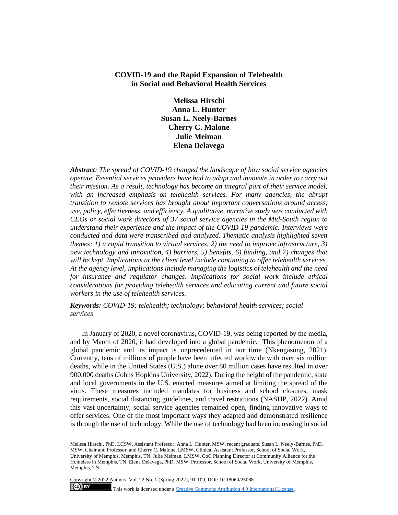# **COVID-19 and the Rapid Expansion of Telehealth in Social and Behavioral Health Services**

**Melissa Hirschi Anna L. Hunter Susan L. Neely-Barnes Cherry C. Malone Julie Meiman Elena Delavega**

*Abstract: The spread of COVID-19 changed the landscape of how social service agencies operate. Essential services providers have had to adapt and innovate in order to carry out their mission. As a result, technology has become an integral part of their service model, with an increased emphasis on telehealth services. For many agencies, the abrupt transition to remote services has brought about important conversations around access, use, policy, effectiveness, and efficiency. A qualitative, narrative study was conducted with CEOs or social work directors of 37 social service agencies in the Mid-South region to understand their experience and the impact of the COVID-19 pandemic. Interviews were conducted and data were transcribed and analyzed. Thematic analysis highlighted seven themes: 1) a rapid transition to virtual services, 2) the need to improve infrastructure, 3) new technology and innovation, 4) barriers, 5) benefits, 6) funding, and 7) changes that will be kept. Implications at the client level include continuing to offer telehealth services. At the agency level, implications include managing the logistics of telehealth and the need for insurance and regulator changes. Implications for social work include ethical considerations for providing telehealth services and educating current and future social workers in the use of telehealth services.*

*Keywords: COVID-19; telehealth; technology; behavioral health services; social services*

In January of 2020, a novel coronavirus, COVID-19, was being reported by the media, and by March of 2020, it had developed into a global pandemic. This phenomenon of a global pandemic and its impact is unprecedented in our time (Nkengasong, 2021). Currently, tens of millions of people have been infected worldwide with over six million deaths, while in the United States (U.S.) alone over 80 million cases have resulted in over 900,000 deaths (Johns Hopkins University, 2022). During the height of the pandemic, state and local governments in the U.S. enacted measures aimed at limiting the spread of the virus. These measures included mandates for business and school closures, mask requirements, social distancing guidelines, and travel restrictions (NASHP, 2022). Amid this vast uncertainty, social service agencies remained open, finding innovative ways to offer services. One of the most important ways they adapted and demonstrated resilience is through the use of technology. While the use of technology had been increasing in social

Copyright © 2022 Authors, Vol. 22 No. 1 (Spring 2022), 91-109, DOI: 10.18060/25088

*\_\_\_\_\_\_\_\_\_*

 $(cc)$  BY

This work is licensed under a **Creative Commons Attribution 4.0 International License**.

Melissa Hirschi, PhD, LCSW, Assistant Professor, Anna L. Hunter, MSW, recent graduate, Susan L. Neely-Barnes, PhD, MSW, Chair and Professor, and Cherry C. Malone, LMSW, Clinical Assistant Professor, School of Social Work, University of Memphis, Memphis, TN. Julie Meiman, LMSW, CoC Planning Director at Community Alliance for the Homeless in Memphis, TN. Elena Delavega, PhD, MSW, Professor, School of Social Work, University of Memphis, Memphis, TN.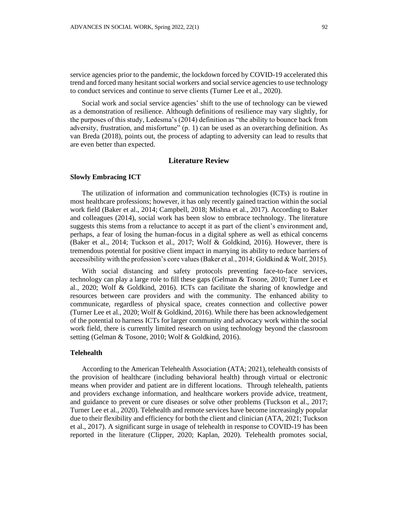service agencies prior to the pandemic, the lockdown forced by COVID-19 accelerated this trend and forced many hesitant social workers and social service agencies to use technology to conduct services and continue to serve clients (Turner Lee et al., 2020).

Social work and social service agencies' shift to the use of technology can be viewed as a demonstration of resilience. Although definitions of resilience may vary slightly, for the purposes of this study, Ledesma's (2014) definition as "the ability to bounce back from adversity, frustration, and misfortune"  $(p, 1)$  can be used as an overarching definition. As van Breda (2018), points out, the process of adapting to adversity can lead to results that are even better than expected.

# **Literature Review**

#### **Slowly Embracing ICT**

The utilization of information and communication technologies (ICTs) is routine in most healthcare professions; however, it has only recently gained traction within the social work field (Baker et al., 2014; Campbell, 2018; Mishna et al., 2017). According to Baker and colleagues (2014), social work has been slow to embrace technology. The literature suggests this stems from a reluctance to accept it as part of the client's environment and, perhaps, a fear of losing the human-focus in a digital sphere as well as ethical concerns (Baker et al., 2014; Tuckson et al., 2017; Wolf & Goldkind, 2016). However, there is tremendous potential for positive client impact in marrying its ability to reduce barriers of accessibility with the profession's core values (Baker et al., 2014; Goldkind & Wolf, 2015).

With social distancing and safety protocols preventing face-to-face services, technology can play a large role to fill these gaps (Gelman & Tosone, 2010; Turner Lee et al., 2020; Wolf & Goldkind, 2016). ICTs can facilitate the sharing of knowledge and resources between care providers and with the community. The enhanced ability to communicate, regardless of physical space, creates connection and collective power (Turner Lee et al., 2020; Wolf & Goldkind, 2016). While there has been acknowledgement of the potential to harness ICTs for larger community and advocacy work within the social work field, there is currently limited research on using technology beyond the classroom setting (Gelman & Tosone, 2010; Wolf & Goldkind, 2016).

# **Telehealth**

According to the American Telehealth Association (ATA; 2021), telehealth consists of the provision of healthcare (including behavioral health) through virtual or electronic means when provider and patient are in different locations. Through telehealth, patients and providers exchange information, and healthcare workers provide advice, treatment, and guidance to prevent or cure diseases or solve other problems (Tuckson et al., 2017; Turner Lee et al., 2020). Telehealth and remote services have become increasingly popular due to their flexibility and efficiency for both the client and clinician (ATA, 2021; Tuckson et al., 2017). A significant surge in usage of telehealth in response to COVID-19 has been reported in the literature (Clipper, 2020; Kaplan, 2020). Telehealth promotes social,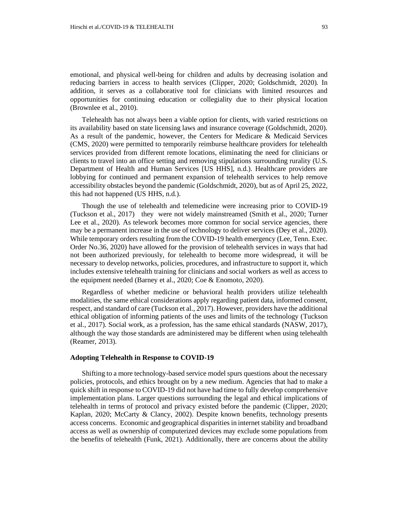emotional, and physical well-being for children and adults by decreasing isolation and reducing barriers in access to health services (Clipper, 2020; Goldschmidt, 2020). In addition, it serves as a collaborative tool for clinicians with limited resources and opportunities for continuing education or collegiality due to their physical location (Brownlee et al., 2010).

Telehealth has not always been a viable option for clients, with varied restrictions on its availability based on state licensing laws and insurance coverage (Goldschmidt, 2020). As a result of the pandemic, however, the Centers for Medicare & Medicaid Services (CMS, 2020) were permitted to temporarily reimburse healthcare providers for telehealth services provided from different remote locations, eliminating the need for clinicians or clients to travel into an office setting and removing stipulations surrounding rurality (U.S. Department of Health and Human Services [US HHS], n.d.). Healthcare providers are lobbying for continued and permanent expansion of telehealth services to help remove accessibility obstacles beyond the pandemic (Goldschmidt, 2020), but as of April 25, 2022, this had not happened (US HHS, n.d.).

Though the use of telehealth and telemedicine were increasing prior to COVID-19 (Tuckson et al., 2017) they were not widely mainstreamed (Smith et al., 2020; Turner Lee et al., 2020). As telework becomes more common for social service agencies, there may be a permanent increase in the use of technology to deliver services (Dey et al., 2020). While temporary orders resulting from the COVID-19 health emergency (Lee, Tenn. Exec. Order No.36, 2020) have allowed for the provision of telehealth services in ways that had not been authorized previously, for telehealth to become more widespread, it will be necessary to develop networks, policies, procedures, and infrastructure to support it, which includes extensive telehealth training for clinicians and social workers as well as access to the equipment needed (Barney et al., 2020; Coe & Enomoto, 2020).

Regardless of whether medicine or behavioral health providers utilize telehealth modalities, the same ethical considerations apply regarding patient data, informed consent, respect, and standard of care (Tuckson et al., 2017). However, providers have the additional ethical obligation of informing patients of the uses and limits of the technology (Tuckson et al., 2017). Social work, as a profession, has the same ethical standards (NASW, 2017), although the way those standards are administered may be different when using telehealth (Reamer, 2013).

## **Adopting Telehealth in Response to COVID-19**

Shifting to a more technology-based service model spurs questions about the necessary policies, protocols, and ethics brought on by a new medium. Agencies that had to make a quick shift in response to COVID-19 did not have had time to fully develop comprehensive implementation plans. Larger questions surrounding the legal and ethical implications of telehealth in terms of protocol and privacy existed before the pandemic (Clipper, 2020; Kaplan, 2020; McCarty & Clancy, 2002). Despite known benefits, technology presents access concerns. Economic and geographical disparities in internet stability and broadband access as well as ownership of computerized devices may exclude some populations from the benefits of telehealth (Funk, 2021). Additionally, there are concerns about the ability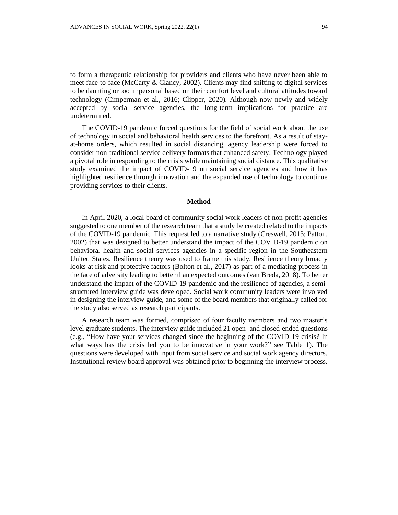to form a therapeutic relationship for providers and clients who have never been able to meet face-to-face (McCarty & Clancy, 2002). Clients may find shifting to digital services to be daunting or too impersonal based on their comfort level and cultural attitudes toward technology (Cimperman et al., 2016; Clipper, 2020). Although now newly and widely accepted by social service agencies, the long-term implications for practice are undetermined.

The COVID-19 pandemic forced questions for the field of social work about the use of technology in social and behavioral health services to the forefront. As a result of stayat-home orders, which resulted in social distancing, agency leadership were forced to consider non-traditional service delivery formats that enhanced safety. Technology played a pivotal role in responding to the crisis while maintaining social distance. This qualitative study examined the impact of COVID-19 on social service agencies and how it has highlighted resilience through innovation and the expanded use of technology to continue providing services to their clients.

### **Method**

In April 2020, a local board of community social work leaders of non-profit agencies suggested to one member of the research team that a study be created related to the impacts of the COVID-19 pandemic. This request led to a narrative study (Creswell, 2013; Patton, 2002) that was designed to better understand the impact of the COVID-19 pandemic on behavioral health and social services agencies in a specific region in the Southeastern United States. Resilience theory was used to frame this study. Resilience theory broadly looks at risk and protective factors (Bolton et al., 2017) as part of a mediating process in the face of adversity leading to better than expected outcomes (van Breda, 2018). To better understand the impact of the COVID-19 pandemic and the resilience of agencies, a semistructured interview guide was developed. Social work community leaders were involved in designing the interview guide, and some of the board members that originally called for the study also served as research participants.

A research team was formed, comprised of four faculty members and two master's level graduate students. The interview guide included 21 open- and closed-ended questions (e.g., "How have your services changed since the beginning of the COVID-19 crisis? In what ways has the crisis led you to be innovative in your work?" see Table 1). The questions were developed with input from social service and social work agency directors. Institutional review board approval was obtained prior to beginning the interview process.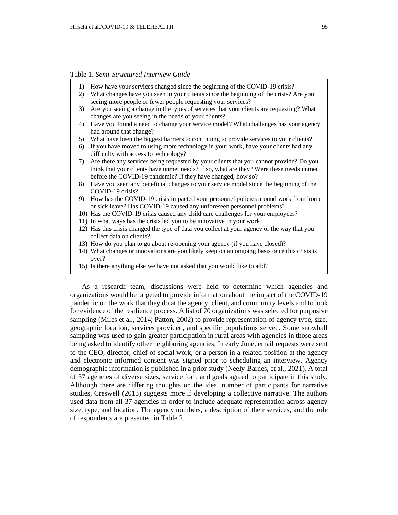Table 1. *Semi-Structured Interview Guide*

- 1) How have your services changed since the beginning of the COVID-19 crisis?
- 2) What changes have you seen in your clients since the beginning of the crisis? Are you seeing more people or fewer people requesting your services?
- 3) Are you seeing a change in the types of services that your clients are requesting? What changes are you seeing in the needs of your clients?
- 4) Have you found a need to change your service model? What challenges has your agency had around that change?
- 5) What have been the biggest barriers to continuing to provide services to your clients?
- 6) If you have moved to using more technology in your work, have your clients had any difficulty with access to technology?
- 7) Are there any services being requested by your clients that you cannot provide? Do you think that your clients have unmet needs? If so, what are they? Were these needs unmet before the COVID-19 pandemic? If they have changed, how so?
- 8) Have you seen any beneficial changes to your service model since the beginning of the COVID-19 crisis?
- 9) How has the COVID-19 crisis impacted your personnel policies around work from home or sick leave? Has COVID-19 caused any unforeseen personnel problems?
- 10) Has the COVID-19 crisis caused any child care challenges for your employees?
- 11) In what ways has the crisis led you to be innovative in your work?
- 12) Has this crisis changed the type of data you collect at your agency or the way that you collect data on clients?
- 13) How do you plan to go about re-opening your agency (if you have closed)?
- 14) What changes or innovations are you likely keep on an ongoing basis once this crisis is over?
- 15) Is there anything else we have not asked that you would like to add?

As a research team, discussions were held to determine which agencies and organizations would be targeted to provide information about the impact of the COVID-19 pandemic on the work that they do at the agency, client, and community levels and to look for evidence of the resilience process. A list of 70 organizations was selected for purposive sampling (Miles et al., 2014; Patton, 2002) to provide representation of agency type, size, geographic location, services provided, and specific populations served. Some snowball sampling was used to gain greater participation in rural areas with agencies in those areas being asked to identify other neighboring agencies. In early June, email requests were sent to the CEO, director, chief of social work, or a person in a related position at the agency and electronic informed consent was signed prior to scheduling an interview. Agency demographic information is published in a prior study (Neely-Barnes, et al., 2021). A total of 37 agencies of diverse sizes, service foci, and goals agreed to participate in this study. Although there are differing thoughts on the ideal number of participants for narrative studies, Creswell (2013) suggests more if developing a collective narrative. The authors used data from all 37 agencies in order to include adequate representation across agency size, type, and location. The agency numbers, a description of their services, and the role of respondents are presented in Table 2.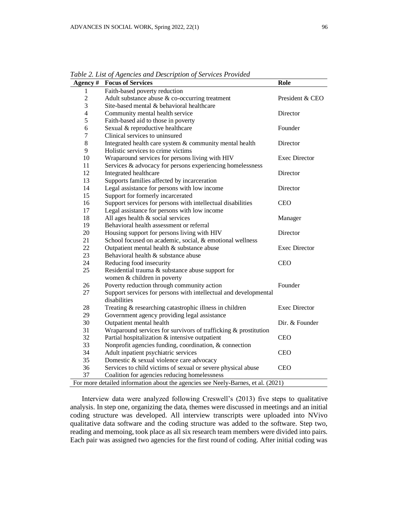| Agency #       | <b>Focus of Services</b>                                                         | Role                 |
|----------------|----------------------------------------------------------------------------------|----------------------|
| $\mathbf{1}$   | Faith-based poverty reduction                                                    |                      |
| $\overline{2}$ | Adult substance abuse & co-occurring treatment                                   | President & CEO      |
| 3              | Site-based mental & behavioral healthcare                                        |                      |
| $\overline{4}$ | Community mental health service                                                  | Director             |
| 5              | Faith-based aid to those in poverty                                              |                      |
| 6              | Sexual & reproductive healthcare                                                 | Founder              |
| 7              | Clinical services to uninsured                                                   |                      |
| $8\,$          | Integrated health care system & community mental health                          | Director             |
| 9              | Holistic services to crime victims                                               |                      |
| 10             | Wraparound services for persons living with HIV                                  | <b>Exec Director</b> |
| 11             | Services & advocacy for persons experiencing homelessness                        |                      |
| 12             | Integrated healthcare                                                            | Director             |
| 13             | Supports families affected by incarceration                                      |                      |
| 14             | Legal assistance for persons with low income                                     | Director             |
| 15             | Support for formerly incarcerated                                                |                      |
| 16             | Support services for persons with intellectual disabilities                      | <b>CEO</b>           |
| 17             | Legal assistance for persons with low income                                     |                      |
| 18             | All ages health & social services                                                | Manager              |
| 19             | Behavioral health assessment or referral                                         |                      |
| 20             | Housing support for persons living with HIV                                      | Director             |
| 21             | School focused on academic, social, & emotional wellness                         |                      |
| 22             | Outpatient mental health & substance abuse                                       | <b>Exec Director</b> |
| 23             | Behavioral health & substance abuse                                              |                      |
| 24             | Reducing food insecurity                                                         | <b>CEO</b>           |
| 25             | Residential trauma & substance abuse support for                                 |                      |
|                | women & children in poverty                                                      |                      |
| 26             | Poverty reduction through community action                                       | Founder              |
| 27             | Support services for persons with intellectual and developmental<br>disabilities |                      |
| 28             | Treating & researching catastrophic illness in children                          | <b>Exec Director</b> |
| 29             | Government agency providing legal assistance                                     |                      |
| 30             | Outpatient mental health                                                         | Dir. & Founder       |
| 31             | Wraparound services for survivors of trafficking & prostitution                  |                      |
| 32             | Partial hospitalization & intensive outpatient                                   | <b>CEO</b>           |
| 33             | Nonprofit agencies funding, coordination, & connection                           |                      |
| 34             | Adult inpatient psychiatric services                                             | <b>CEO</b>           |
| 35             | Domestic & sexual violence care advocacy                                         |                      |
| 36             | Services to child victims of sexual or severe physical abuse                     | <b>CEO</b>           |
| 37             | Coalition for agencies reducing homelessness                                     |                      |
|                | For more detailed information about the agencies see Neely-Barnes, et al. (2021) |                      |

*Table 2. List of Agencies and Description of Services Provided*

Interview data were analyzed following Creswell's (2013) five steps to qualitative analysis. In step one, organizing the data, themes were discussed in meetings and an initial coding structure was developed. All interview transcripts were uploaded into NVivo qualitative data software and the coding structure was added to the software. Step two, reading and memoing, took place as all six research team members were divided into pairs. Each pair was assigned two agencies for the first round of coding. After initial coding was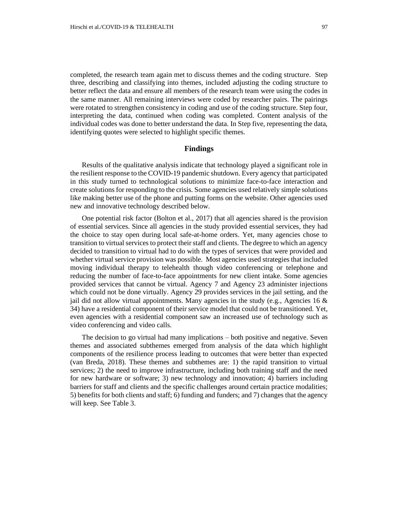completed, the research team again met to discuss themes and the coding structure. Step three, describing and classifying into themes, included adjusting the coding structure to better reflect the data and ensure all members of the research team were using the codes in the same manner. All remaining interviews were coded by researcher pairs. The pairings were rotated to strengthen consistency in coding and use of the coding structure. Step four, interpreting the data, continued when coding was completed. Content analysis of the individual codes was done to better understand the data. In Step five, representing the data, identifying quotes were selected to highlight specific themes.

## **Findings**

Results of the qualitative analysis indicate that technology played a significant role in the resilient response to the COVID-19 pandemic shutdown. Every agency that participated in this study turned to technological solutions to minimize face-to-face interaction and create solutions for responding to the crisis. Some agencies used relatively simple solutions like making better use of the phone and putting forms on the website. Other agencies used new and innovative technology described below.

One potential risk factor (Bolton et al., 2017) that all agencies shared is the provision of essential services. Since all agencies in the study provided essential services, they had the choice to stay open during local safe-at-home orders. Yet, many agencies chose to transition to virtual services to protect their staff and clients. The degree to which an agency decided to transition to virtual had to do with the types of services that were provided and whether virtual service provision was possible. Most agencies used strategies that included moving individual therapy to telehealth though video conferencing or telephone and reducing the number of face-to-face appointments for new client intake. Some agencies provided services that cannot be virtual. Agency 7 and Agency 23 administer injections which could not be done virtually. Agency 29 provides services in the jail setting, and the jail did not allow virtual appointments. Many agencies in the study (e.g., Agencies 16  $\&$ 34) have a residential component of their service model that could not be transitioned. Yet, even agencies with a residential component saw an increased use of technology such as video conferencing and video calls.

The decision to go virtual had many implications – both positive and negative. Seven themes and associated subthemes emerged from analysis of the data which highlight components of the resilience process leading to outcomes that were better than expected (van Breda, 2018). These themes and subthemes are: 1) the rapid transition to virtual services; 2) the need to improve infrastructure, including both training staff and the need for new hardware or software; 3) new technology and innovation; 4) barriers including barriers for staff and clients and the specific challenges around certain practice modalities; 5) benefits for both clients and staff; 6) funding and funders; and 7) changes that the agency will keep. See Table 3.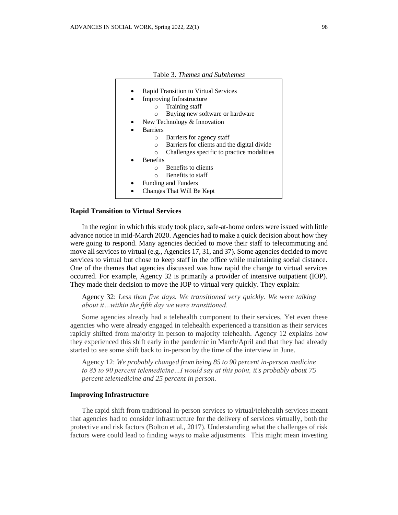| Table 3. Themes and Subthemes                           |
|---------------------------------------------------------|
|                                                         |
| Rapid Transition to Virtual Services                    |
| <b>Improving Infrastructure</b>                         |
| Training staff<br>$\Omega$                              |
| Buying new software or hardware<br>$\circ$              |
| New Technology & Innovation                             |
| <b>Barriers</b>                                         |
| Barriers for agency staff<br>$\Omega$                   |
| Barriers for clients and the digital divide<br>$\Omega$ |
| Challenges specific to practice modalities<br>$\circ$   |
| <b>Benefits</b>                                         |
| Benefits to clients<br>$\cap$                           |
| Benefits to staff<br>$\bigcap$                          |
| Funding and Funders                                     |
| Changes That Will Be Kept                               |
|                                                         |

## **Rapid Transition to Virtual Services**

In the region in which this study took place, safe-at-home orders were issued with little advance notice in mid-March 2020. Agencies had to make a quick decision about how they were going to respond. Many agencies decided to move their staff to telecommuting and move all services to virtual (e.g., Agencies 17, 31, and 37). Some agencies decided to move services to virtual but chose to keep staff in the office while maintaining social distance. One of the themes that agencies discussed was how rapid the change to virtual services occurred. For example, Agency 32 is primarily a provider of intensive outpatient (IOP). They made their decision to move the IOP to virtual very quickly. They explain:

Agency 32: *Less than five days. We transitioned very quickly. We were talking about it…within the fifth day we were transitioned.*

Some agencies already had a telehealth component to their services. Yet even these agencies who were already engaged in telehealth experienced a transition as their services rapidly shifted from majority in person to majority telehealth. Agency 12 explains how they experienced this shift early in the pandemic in March/April and that they had already started to see some shift back to in-person by the time of the interview in June.

Agency 12: *We probably changed from being 85 to 90 percent in-person medicine to 85 to 90 percent telemedicine…I would say at this point, it's probably about 75 percent telemedicine and 25 percent in person.*

#### **Improving Infrastructure**

The rapid shift from traditional in-person services to virtual/telehealth services meant that agencies had to consider infrastructure for the delivery of services virtually, both the protective and risk factors (Bolton et al., 2017). Understanding what the challenges of risk factors were could lead to finding ways to make adjustments. This might mean investing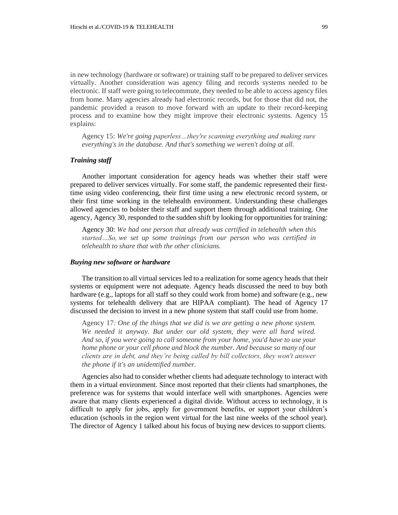in new technology (hardware or software) or training staff to be prepared to deliver services virtually. Another consideration was agency filing and records systems needed to be electronic. If staff were going to telecommute, they needed to be able to access agency files from home. Many agencies already had electronic records, but for those that did not, the pandemic provided a reason to move forward with an update to their record-keeping process and to examine how they might improve their electronic systems. Agency 15 explains:

Agency 15: *We're going paperless…they're scanning everything and making sure everything's in the database. And that's something we weren't doing at all.*

# *Training staff*

Another important consideration for agency heads was whether their staff were prepared to deliver services virtually. For some staff, the pandemic represented their firsttime using video conferencing, their first time using a new electronic record system, or their first time working in the telehealth environment. Understanding these challenges allowed agencies to bolster their staff and support them through additional training. One agency, Agency 30, responded to the sudden shift by looking for opportunities for training:

Agency 30: *We had one person that already was certified in telehealth when this started…So, we set up some trainings from our person who was certified in telehealth to share that with the other clinicians.*

#### *Buying new software or hardware*

The transition to all virtual services led to a realization for some agency heads that their systems or equipment were not adequate. Agency heads discussed the need to buy both hardware (e.g., laptops for all staff so they could work from home) and software (e.g., new systems for telehealth delivery that are HIPAA compliant). The head of Agency 17 discussed the decision to invest in a new phone system that staff could use from home.

Agency 17*: One of the things that we did is we are getting a new phone system. We needed it anyway. But under our old system, they were all hard wired. And so, if you were going to call someone from your home, you'd have to use your home phone or your cell phone and block the number. And because so many of our clients are in debt, and they're being called by bill collectors, they won't answer the phone if it's an unidentified number.*

Agencies also had to consider whether clients had adequate technology to interact with them in a virtual environment. Since most reported that their clients had smartphones, the preference was for systems that would interface well with smartphones. Agencies were aware that many clients experienced a digital divide. Without access to technology, it is difficult to apply for jobs, apply for government benefits, or support your children's education (schools in the region went virtual for the last nine weeks of the school year). The director of Agency 1 talked about his focus of buying new devices to support clients.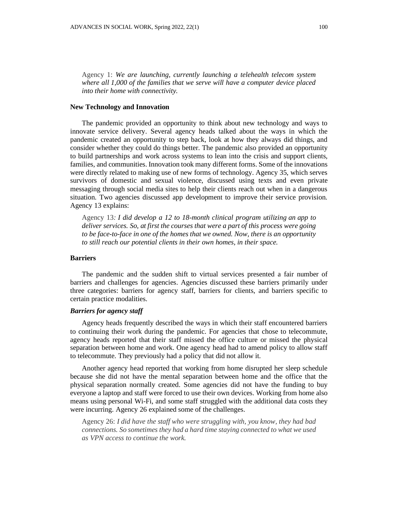Agency 1: *We are launching, currently launching a telehealth telecom system where all 1,000 of the families that we serve will have a computer device placed into their home with connectivity.*

# **New Technology and Innovation**

The pandemic provided an opportunity to think about new technology and ways to innovate service delivery. Several agency heads talked about the ways in which the pandemic created an opportunity to step back, look at how they always did things, and consider whether they could do things better. The pandemic also provided an opportunity to build partnerships and work across systems to lean into the crisis and support clients, families, and communities. Innovation took many different forms. Some of the innovations were directly related to making use of new forms of technology. Agency 35, which serves survivors of domestic and sexual violence, discussed using texts and even private messaging through social media sites to help their clients reach out when in a dangerous situation. Two agencies discussed app development to improve their service provision. Agency 13 explains:

Agency 13*: I did develop a 12 to 18-month clinical program utilizing an app to deliver services. So, at first the courses that were a part of this process were going to be face-to-face in one of the homes that we owned. Now, there is an opportunity to still reach our potential clients in their own homes, in their space.*

# **Barriers**

The pandemic and the sudden shift to virtual services presented a fair number of barriers and challenges for agencies. Agencies discussed these barriers primarily under three categories: barriers for agency staff, barriers for clients, and barriers specific to certain practice modalities.

# *Barriers for agency staff*

Agency heads frequently described the ways in which their staff encountered barriers to continuing their work during the pandemic. For agencies that chose to telecommute, agency heads reported that their staff missed the office culture or missed the physical separation between home and work. One agency head had to amend policy to allow staff to telecommute. They previously had a policy that did not allow it.

Another agency head reported that working from home disrupted her sleep schedule because she did not have the mental separation between home and the office that the physical separation normally created. Some agencies did not have the funding to buy everyone a laptop and staff were forced to use their own devices. Working from home also means using personal Wi-Fi, and some staff struggled with the additional data costs they were incurring. Agency 26 explained some of the challenges.

Agency 26: *I did have the staff who were struggling with, you know, they had bad connections. So sometimes they had a hard time staying connected to what we used as VPN access to continue the work.*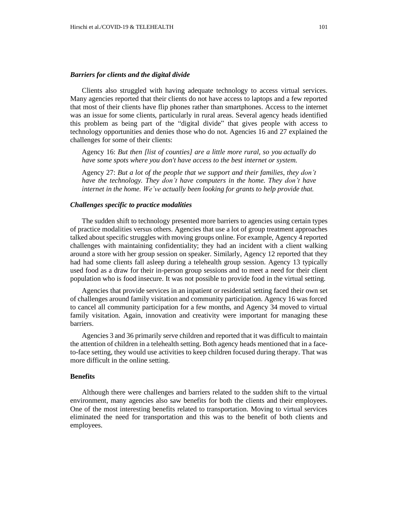### *Barriers for clients and the digital divide*

Clients also struggled with having adequate technology to access virtual services. Many agencies reported that their clients do not have access to laptops and a few reported that most of their clients have flip phones rather than smartphones. Access to the internet was an issue for some clients, particularly in rural areas. Several agency heads identified this problem as being part of the "digital divide" that gives people with access to technology opportunities and denies those who do not. Agencies 16 and 27 explained the challenges for some of their clients:

Agency 16: *But then [list of counties] are a little more rural, so you actually do have some spots where you don't have access to the best internet or system.*

Agency 27: *But a lot of the people that we support and their families, they don't have the technology. They don't have computers in the home. They don't have internet in the home. We've actually been looking for grants to help provide that.*

## *Challenges specific to practice modalities*

The sudden shift to technology presented more barriers to agencies using certain types of practice modalities versus others. Agencies that use a lot of group treatment approaches talked about specific struggles with moving groups online. For example, Agency 4 reported challenges with maintaining confidentiality; they had an incident with a client walking around a store with her group session on speaker. Similarly, Agency 12 reported that they had had some clients fall asleep during a telehealth group session. Agency 13 typically used food as a draw for their in-person group sessions and to meet a need for their client population who is food insecure. It was not possible to provide food in the virtual setting.

Agencies that provide services in an inpatient or residential setting faced their own set of challenges around family visitation and community participation. Agency 16 was forced to cancel all community participation for a few months, and Agency 34 moved to virtual family visitation. Again, innovation and creativity were important for managing these barriers.

Agencies 3 and 36 primarily serve children and reported that it was difficult to maintain the attention of children in a telehealth setting. Both agency heads mentioned that in a faceto-face setting, they would use activities to keep children focused during therapy. That was more difficult in the online setting.

### **Benefits**

Although there were challenges and barriers related to the sudden shift to the virtual environment, many agencies also saw benefits for both the clients and their employees. One of the most interesting benefits related to transportation. Moving to virtual services eliminated the need for transportation and this was to the benefit of both clients and employees.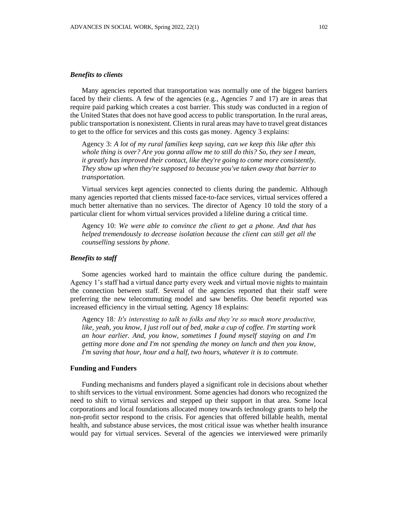### *Benefits to clients*

Many agencies reported that transportation was normally one of the biggest barriers faced by their clients. A few of the agencies (e.g., Agencies 7 and 17) are in areas that require paid parking which creates a cost barrier. This study was conducted in a region of the United States that does not have good access to public transportation. In the rural areas, public transportation is nonexistent. Clients in rural areas may have to travel great distances to get to the office for services and this costs gas money. Agency 3 explains:

Agency 3: *A lot of my rural families keep saying, can we keep this like after this whole thing is over? Are you gonna allow me to still do this? So, they see I mean, it greatly has improved their contact, like they're going to come more consistently. They show up when they're supposed to because you've taken away that barrier to transportation.*

Virtual services kept agencies connected to clients during the pandemic. Although many agencies reported that clients missed face-to-face services, virtual services offered a much better alternative than no services. The director of Agency 10 told the story of a particular client for whom virtual services provided a lifeline during a critical time.

Agency 10: *We were able to convince the client to get a phone. And that has helped tremendously to decrease isolation because the client can still get all the counselling sessions by phone.*

# *Benefits to staff*

Some agencies worked hard to maintain the office culture during the pandemic. Agency 1's staff had a virtual dance party every week and virtual movie nights to maintain the connection between staff. Several of the agencies reported that their staff were preferring the new telecommuting model and saw benefits. One benefit reported was increased efficiency in the virtual setting. Agency 18 explains:

Agency 18*: It's interesting to talk to folks and they're so much more productive, like, yeah, you know, I just roll out of bed, make a cup of coffee. I'm starting work an hour earlier. And, you know, sometimes I found myself staying on and I'm getting more done and I'm not spending the money on lunch and then you know, I'm saving that hour, hour and a half, two hours, whatever it is to commute.* 

# **Funding and Funders**

Funding mechanisms and funders played a significant role in decisions about whether to shift services to the virtual environment. Some agencies had donors who recognized the need to shift to virtual services and stepped up their support in that area. Some local corporations and local foundations allocated money towards technology grants to help the non-profit sector respond to the crisis. For agencies that offered billable health, mental health, and substance abuse services, the most critical issue was whether health insurance would pay for virtual services. Several of the agencies we interviewed were primarily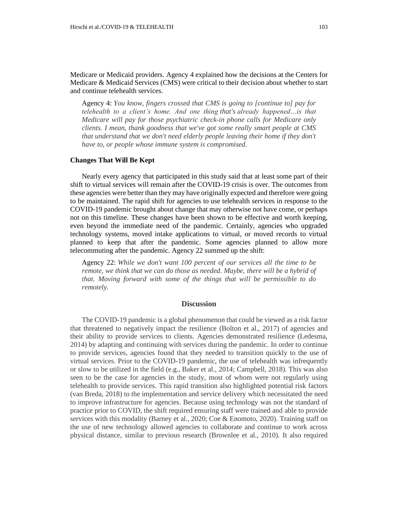Medicare or Medicaid providers. Agency 4 explained how the decisions at the Centers for Medicare & Medicaid Services (CMS) were critical to their decision about whether to start and continue telehealth services.

Agency 4: *You know, fingers crossed that CMS is going to [continue to] pay for telehealth to a client's home. And one thing that's already happened…is that Medicare will pay for those psychiatric check-in phone calls for Medicare only clients. I mean, thank goodness that we've got some really smart people at CMS that understand that we don't need elderly people leaving their home if they don't have to, or people whose immune system is compromised.* 

# **Changes That Will Be Kept**

Nearly every agency that participated in this study said that at least some part of their shift to virtual services will remain after the COVID-19 crisis is over. The outcomes from these agencies were better than they may have originally expected and therefore were going to be maintained. The rapid shift for agencies to use telehealth services in response to the COVID-19 pandemic brought about change that may otherwise not have come, or perhaps not on this timeline. These changes have been shown to be effective and worth keeping, even beyond the immediate need of the pandemic. Certainly, agencies who upgraded technology systems, moved intake applications to virtual, or moved records to virtual planned to keep that after the pandemic. Some agencies planned to allow more telecommuting after the pandemic. Agency 22 summed up the shift:

Agency 22: *While we don't want 100 percent of our services all the time to be remote, we think that we can do those as needed. Maybe, there will be a hybrid of that. Moving forward with some of the things that will be permissible to do remotely.*

# **Discussion**

The COVID-19 pandemic is a global phenomenon that could be viewed as a risk factor that threatened to negatively impact the resilience (Bolton et al., 2017) of agencies and their ability to provide services to clients. Agencies demonstrated resilience (Ledesma, 2014) by adapting and continuing with services during the pandemic. In order to continue to provide services, agencies found that they needed to transition quickly to the use of virtual services. Prior to the COVID-19 pandemic, the use of telehealth was infrequently or slow to be utilized in the field (e.g., Baker et al., 2014; Campbell, 2018). This was also seen to be the case for agencies in the study, most of whom were not regularly using telehealth to provide services. This rapid transition also highlighted potential risk factors (van Breda, 2018) to the implementation and service delivery which necessitated the need to improve infrastructure for agencies. Because using technology was not the standard of practice prior to COVID, the shift required ensuring staff were trained and able to provide services with this modality (Barney et al., 2020; Coe & Enomoto, 2020). Training staff on the use of new technology allowed agencies to collaborate and continue to work across physical distance, similar to previous research (Brownlee et al., 2010). It also required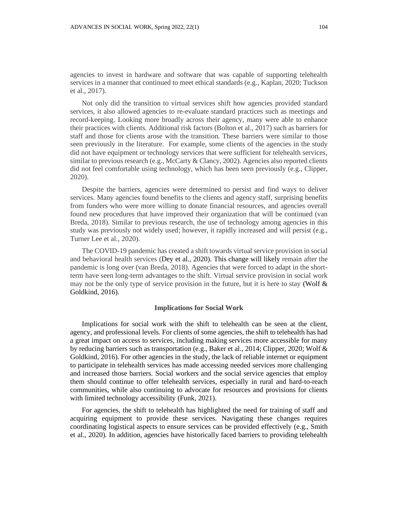agencies to invest in hardware and software that was capable of supporting telehealth services in a manner that continued to meet ethical standards (e.g., Kaplan, 2020; Tuckson et al., 2017).

Not only did the transition to virtual services shift how agencies provided standard services, it also allowed agencies to re-evaluate standard practices such as meetings and record-keeping. Looking more broadly across their agency, many were able to enhance their practices with clients. Additional risk factors (Bolton et al., 2017) such as barriers for staff and those for clients arose with the transition. These barriers were similar to those seen previously in the literature. For example, some clients of the agencies in the study did not have equipment or technology services that were sufficient for telehealth services, similar to previous research (e.g., McCarty & Clancy, 2002). Agencies also reported clients did not feel comfortable using technology, which has been seen previously (e.g., Clipper, 2020).

Despite the barriers, agencies were determined to persist and find ways to deliver services. Many agencies found benefits to the clients and agency staff, surprising benefits from funders who were more willing to donate financial resources, and agencies overall found new procedures that have improved their organization that will be continued (van Breda, 2018). Similar to previous research, the use of technology among agencies in this study was previously not widely used; however, it rapidly increased and will persist (e.g., Turner Lee et al., 2020).

The COVID-19 pandemic has created a shift towards virtual service provision in social and behavioral health services (Dey et al., 2020). This change will likely remain after the pandemic is long over (van Breda, 2018). Agencies that were forced to adapt in the shortterm have seen long-term advantages to the shift. Virtual service provision in social work may not be the only type of service provision in the future, but it is here to stay (Wolf  $\&$ Goldkind, 2016).

## **Implications for Social Work**

Implications for social work with the shift to telehealth can be seen at the client, agency, and professional levels. For clients of some agencies, the shift to telehealth has had a great impact on access to services, including making services more accessible for many by reducing barriers such as transportation (e.g., Baker et al., 2014; Clipper, 2020; Wolf & Goldkind, 2016). For other agencies in the study, the lack of reliable internet or equipment to participate in telehealth services has made accessing needed services more challenging and increased those barriers. Social workers and the social service agencies that employ them should continue to offer telehealth services, especially in rural and hard-to-reach communities, while also continuing to advocate for resources and provisions for clients with limited technology accessibility (Funk, 2021).

For agencies, the shift to telehealth has highlighted the need for training of staff and acquiring equipment to provide these services. Navigating these changes requires coordinating logistical aspects to ensure services can be provided effectively (e.g., Smith et al., 2020). In addition, agencies have historically faced barriers to providing telehealth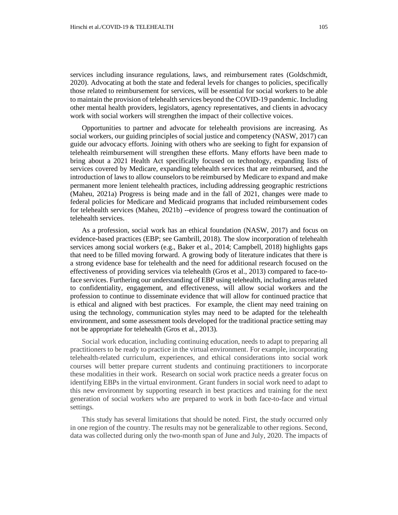services including insurance regulations, laws, and reimbursement rates (Goldschmidt, 2020). Advocating at both the state and federal levels for changes to policies, specifically those related to reimbursement for services, will be essential for social workers to be able to maintain the provision of telehealth services beyond the COVID-19 pandemic. Including other mental health providers, legislators, agency representatives, and clients in advocacy work with social workers will strengthen the impact of their collective voices.

Opportunities to partner and advocate for telehealth provisions are increasing. As social workers, our guiding principles of social justice and competency (NASW, 2017) can guide our advocacy efforts. Joining with others who are seeking to fight for expansion of telehealth reimbursement will strengthen these efforts. Many efforts have been made to bring about a 2021 Health Act specifically focused on technology, expanding lists of services covered by Medicare, expanding telehealth services that are reimbursed, and the introduction of laws to allow counselors to be reimbursed by Medicare to expand and make permanent more lenient telehealth practices, including addressing geographic restrictions (Maheu, 2021a) Progress is being made and in the fall of 2021, changes were made to federal policies for Medicare and Medicaid programs that included reimbursement codes for telehealth services (Maheu, 2021b) --evidence of progress toward the continuation of telehealth services.

As a profession, social work has an ethical foundation (NASW, 2017) and focus on evidence-based practices (EBP; see Gambrill, 2018). The slow incorporation of telehealth services among social workers (e.g., Baker et al., 2014; Campbell, 2018) highlights gaps that need to be filled moving forward. A growing body of literature indicates that there is a strong evidence base for telehealth and the need for additional research focused on the effectiveness of providing services via telehealth (Gros et al., 2013) compared to face-toface services. Furthering our understanding of EBP using telehealth, including areas related to confidentiality, engagement, and effectiveness, will allow social workers and the profession to continue to disseminate evidence that will allow for continued practice that is ethical and aligned with best practices. For example, the client may need training on using the technology, communication styles may need to be adapted for the telehealth environment, and some assessment tools developed for the traditional practice setting may not be appropriate for telehealth (Gros et al., 2013).

Social work education, including continuing education, needs to adapt to preparing all practitioners to be ready to practice in the virtual environment. For example, incorporating telehealth-related curriculum, experiences, and ethical considerations into social work courses will better prepare current students and continuing practitioners to incorporate these modalities in their work. Research on social work practice needs a greater focus on identifying EBPs in the virtual environment. Grant funders in social work need to adapt to this new environment by supporting research in best practices and training for the next generation of social workers who are prepared to work in both face-to-face and virtual settings.

This study has several limitations that should be noted. First, the study occurred only in one region of the country. The results may not be generalizable to other regions. Second, data was collected during only the two-month span of June and July, 2020. The impacts of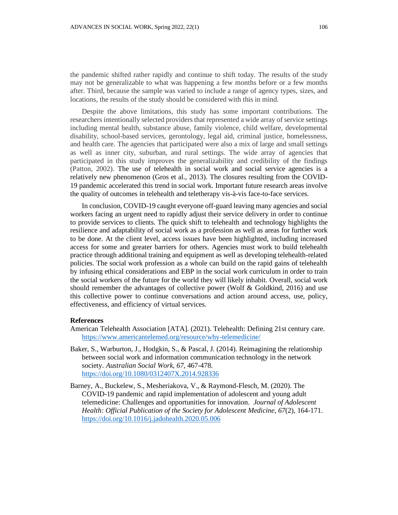the pandemic shifted rather rapidly and continue to shift today. The results of the study may not be generalizable to what was happening a few months before or a few months after. Third, because the sample was varied to include a range of agency types, sizes, and locations, the results of the study should be considered with this in mind.

Despite the above limitations, this study has some important contributions. The researchers intentionally selected providers that represented a wide array of service settings including mental health, substance abuse, family violence, child welfare, developmental disability, school-based services, gerontology, legal aid, criminal justice, homelessness, and health care. The agencies that participated were also a mix of large and small settings as well as inner city, suburban, and rural settings. The wide array of agencies that participated in this study improves the generalizability and credibility of the findings (Patton, 2002). The use of telehealth in social work and social service agencies is a relatively new phenomenon (Gros et al., 2013). The closures resulting from the COVID-19 pandemic accelerated this trend in social work. Important future research areas involve the quality of outcomes in telehealth and teletherapy vis-à-vis face-to-face services.

In conclusion, COVID-19 caught everyone off-guard leaving many agencies and social workers facing an urgent need to rapidly adjust their service delivery in order to continue to provide services to clients. The quick shift to telehealth and technology highlights the resilience and adaptability of social work as a profession as well as areas for further work to be done. At the client level, access issues have been highlighted, including increased access for some and greater barriers for others. Agencies must work to build telehealth practice through additional training and equipment as well as developing telehealth-related policies. The social work profession as a whole can build on the rapid gains of telehealth by infusing ethical considerations and EBP in the social work curriculum in order to train the social workers of the future for the world they will likely inhabit. Overall, social work should remember the advantages of collective power (Wolf & Goldkind, 2016) and use this collective power to continue conversations and action around access, use, policy, effectiveness, and efficiency of virtual services.

#### **References**

- American Telehealth Association [ATA]. (2021). Telehealth: Defining 21st century care. <https://www.americantelemed.org/resource/why-telemedicine/>
- Baker, S., Warburton, J., Hodgkin, S., & Pascal, J. (2014). Reimagining the relationship between social work and information communication technology in the network society. *Australian Social Work*, *67*, 467-478. <https://doi.org/10.1080/0312407X.2014.928336>
- Barney, A., Buckelew, S., Mesheriakova, V., & Raymond-Flesch, M. (2020). The COVID-19 pandemic and rapid implementation of adolescent and young adult telemedicine: Challenges and opportunities for innovation. *Journal of Adolescent Health: Official Publication of the Society for Adolescent Medicine*, *67*(2), 164-171. <https://doi.org/10.1016/j.jadohealth.2020.05.006>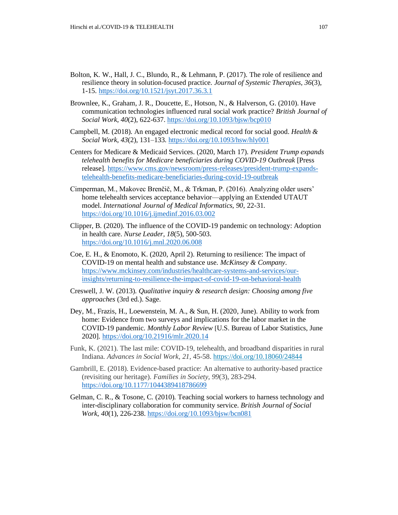- Bolton, K. W., Hall, J. C., Blundo, R., & Lehmann, P. (2017). The role of resilience and resilience theory in solution-focused practice. *Journal of Systemic Therapies, 36*(3), 1-15.<https://doi.org/10.1521/jsyt.2017.36.3.1>
- Brownlee, K., Graham, J. R., Doucette, E., Hotson, N., & Halverson, G. (2010). Have communication technologies influenced rural social work practice? *British Journal of Social Work, 40*(2), 622-637.<https://doi.org/10.1093/bjsw/bcp010>
- Campbell, M. (2018). An engaged electronic medical record for social good. *Health & Social Work*, *43*(2), 131–133.<https://doi.org/10.1093/hsw/hly001>
- Centers for Medicare & Medicaid Services. (2020, March 17). *President Trump expands telehealth benefits for Medicare beneficiaries during COVID-19 Outbreak* [Press release]. [https://www.cms.gov/newsroom/press-releases/president-trump-expands](https://www.cms.gov/newsroom/press-releases/president-trump-expands-telehealth-benefits-medicare-beneficiaries-during-covid-19-outbreak)[telehealth-benefits-medicare-beneficiaries-during-covid-19-outbreak](https://www.cms.gov/newsroom/press-releases/president-trump-expands-telehealth-benefits-medicare-beneficiaries-during-covid-19-outbreak)
- Cimperman, M., Makovec Brenčič, M., & Trkman, P. (2016). Analyzing older users' home telehealth services acceptance behavior—applying an Extended UTAUT model. *International Journal of Medical Informatics, 90*, 22-31. <https://doi.org/10.1016/j.ijmedinf.2016.03.002>
- Clipper, B. (2020). The influence of the COVID-19 pandemic on technology: Adoption in health care. *Nurse Leader, 18*(5), 500-503. <https://doi.org/10.1016/j.mnl.2020.06.008>
- Coe, E. H., & Enomoto, K. (2020, April 2). Returning to resilience: The impact of COVID-19 on mental health and substance use. *McKinsey & Company*. [https://www.mckinsey.com/industries/healthcare-systems-and-services/our](https://www.mckinsey.com/industries/healthcare-systems-and-services/our-insights/returning-to-resilience-the-impact-of-covid-19-on-behavioral-health)[insights/returning-to-resilience-the-impact-of-covid-19-on-behavioral-health](https://www.mckinsey.com/industries/healthcare-systems-and-services/our-insights/returning-to-resilience-the-impact-of-covid-19-on-behavioral-health)
- Creswell, J. W. (2013). *Qualitative inquiry & research design: Choosing among five approaches* (3rd ed.). Sage.
- Dey, M., Frazis, H., Loewenstein, M. A., & Sun, H. (2020, June). Ability to work from home: Evidence from two surveys and implications for the labor market in the COVID-19 pandemic. *Monthly Labor Review* [U.S. Bureau of Labor Statistics, June 2020].<https://doi.org/10.21916/mlr.2020.14>
- Funk, K. (2021). The last mile: COVID-19, telehealth, and broadband disparities in rural Indiana. *Advances in Social Work, 21,* 45-58.<https://doi.org/10.18060/24844>
- Gambrill, E. (2018). Evidence-based practice: An alternative to authority-based practice (revisiting our heritage). *Families in Society, 99*(3), 283-294. <https://doi.org/10.1177/1044389418786699>
- Gelman, C. R., & Tosone, C. (2010). Teaching social workers to harness technology and inter-disciplinary collaboration for community service. *British Journal of Social Work*, *40*(1), 226-238.<https://doi.org/10.1093/bjsw/bcn081>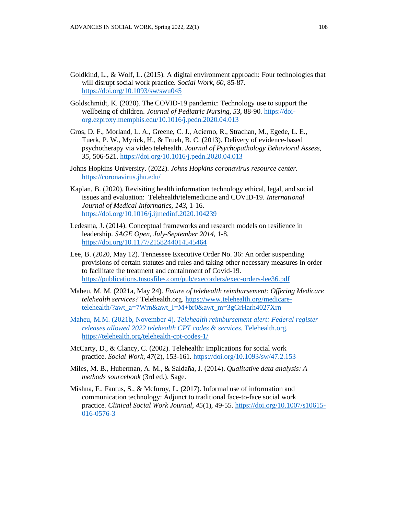- Goldkind, L., & Wolf, L. (2015). A digital environment approach: Four technologies that will disrupt social work practice. *Social Work*, *60*, 85-87. <https://doi.org/10.1093/sw/swu045>
- Goldschmidt, K. (2020). The COVID-19 pandemic: Technology use to support the wellbeing of children. *Journal of Pediatric Nursing*, *53*, 88-90. [https://doi](https://doi-org.ezproxy.memphis.edu/10.1016/j.pedn.2020.04.013)[org.ezproxy.memphis.edu/10.1016/j.pedn.2020.04.013](https://doi-org.ezproxy.memphis.edu/10.1016/j.pedn.2020.04.013)
- Gros, D. F., Morland, L. A., Greene, C. J., Acierno, R., Strachan, M., Egede, L. E., Tuerk, P. W., Myrick, H., & Frueh, B. C. (2013). Delivery of evidence-based psychotherapy via video telehealth. *Journal of Psychopathology Behavioral Assess, 35*, 506-521[. https://doi.org/10.1016/j.pedn.2020.04.013](https://doi.org/10.1016/j.pedn.2020.04.013)
- Johns Hopkins University. (2022). *Johns Hopkins coronavirus resource center.* <https://coronavirus.jhu.edu/>
- Kaplan, B. (2020). Revisiting health information technology ethical, legal, and social issues and evaluation: Telehealth/telemedicine and COVID-19. *International Journal of Medical Informatics, 143*, 1-16. <https://doi.org/10.1016/j.ijmedinf.2020.104239>
- Ledesma, J. (2014). Conceptual frameworks and research models on resilience in leadership. *SAGE Open*, *July-September 2014,* 1-8. <https://doi.org/10.1177/2158244014545464>
- Lee, B. (2020, May 12). Tennessee Executive Order No. 36: An order suspending provisions of certain statutes and rules and taking other necessary measures in order to facilitate the treatment and containment of Covid-19. <https://publications.tnsosfiles.com/pub/execorders/exec-orders-lee36.pdf>
- Maheu, M. M. (2021a, May 24). *Future of telehealth reimbursement: Offering Medicare telehealth services?* Telehealth.org. [https://www.telehealth.org/medicare](https://www.telehealth.org/medicare-telehealth/?awt_a=7Wrn&awt_I=M+br0&awt_m=3gGrHarh4027Xrn)[telehealth/?awt\\_a=7Wrn&awt\\_I=M+br0&awt\\_m=3gGrHarh4027Xrn](https://www.telehealth.org/medicare-telehealth/?awt_a=7Wrn&awt_I=M+br0&awt_m=3gGrHarh4027Xrn)
- Maheu, M.M. (2021b, November 4). *Telehealth reimbursement alert: Federal register releases allowed 2022 telehealth CPT codes & services.* Telehealth.org. https://telehealth.org/telehealth-cpt-codes-1/
- McCarty, D., & Clancy, C. (2002). Telehealth: Implications for social work practice. *Social Work*, *47*(2), 153-161.<https://doi.org/10.1093/sw/47.2.153>
- Miles, M. B., Huberman, A. M., & Saldaña, J. (2014). *Qualitative data analysis: A methods sourcebook* (3rd ed.). Sage.
- Mishna, F., Fantus, S., & McInroy, L. (2017). Informal use of information and communication technology: Adjunct to traditional face-to-face social work practice. *Clinical Social Work Journal*, *45*(1), 49-55[. https://doi.org/10.1007/s10615-](https://doi.org/10.1007/s10615-016-0576-3) [016-0576-3](https://doi.org/10.1007/s10615-016-0576-3)